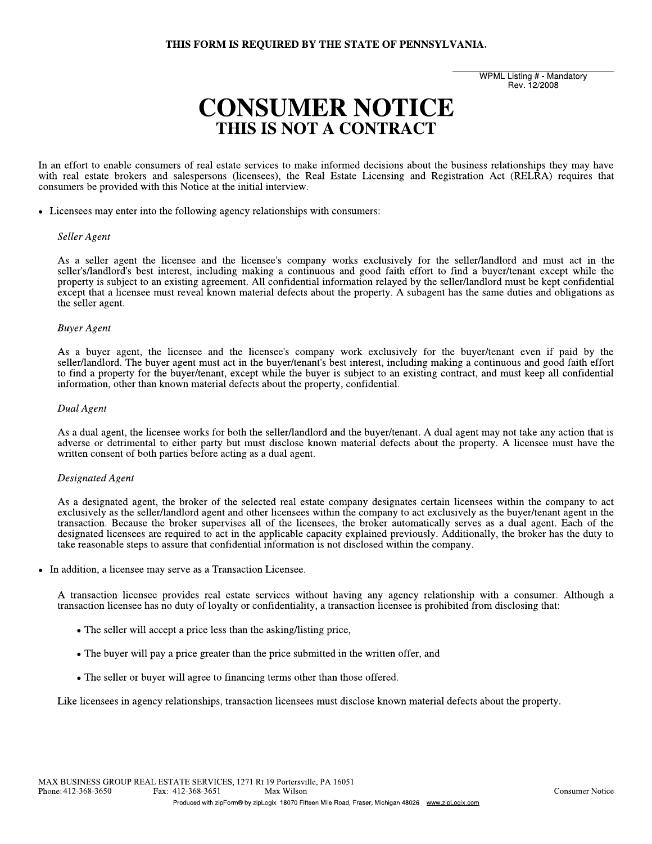# THIS FORM IS REQUIRED BY THE STATE OF PENNSYLVANIA.

**WPML Listing # - Mandatory** Rev. 12/2008

# **CONSUMER NOTICE** THIS IS NOT A CONTRACT

In an effort to enable consumers of real estate services to make informed decisions about the business relationships they may have with real estate brokers and salespersons (licensees), the Real Estate Licensing and Registration Act (RELRA) requires that consumers be provided with this Notice at the initial interview.

• Licensees may enter into the following agency relationships with consumers:

#### Seller Agent

As a seller agent the licensee and the licensee's company works exclusively for the seller/landlord and must act in the seller's/landlord's best interest, including making a continuous and good faith effort to find a buyer/tenant except while the property is subject to an existing agreement. All confidential information relayed by the seller/landlord must be kept confidential except that a licensee must reveal known material defects about the property. A subagent has the same duties and obligations as the seller agent.

#### **Buyer Agent**

As a buyer agent, the licensee and the licensee's company work exclusively for the buyer/tenant even if paid by the seller/landlord. The buyer agent must act in the buyer/tenant's best interest, including making a continuous and good faith effort to find a property for the buyer/tenant, except while the buyer is subject to an existing contract, and must keep all confidential information, other than known material defects about the property, confidential.

## Dual Agent

As a dual agent, the licensee works for both the seller/landlord and the buyer/tenant. A dual agent may not take any action that is adverse or detrimental to either party but must disclose known material defects about the property. A licensee must have the written consent of both parties before acting as a dual agent.

## Designated Agent

As a designated agent, the broker of the selected real estate company designates certain licensees within the company to act exclusively as the seller/landlord agent and other licensees within the company to act exclusively as the buyer/tenant agent in the transaction. Because the broker supervises all of the licensees, the broker automatically serves as a dual agent. Each of the designated licensees are required to act in the applicable capacity explained previously. Additionally, the broker has the duty to take reasonable steps to assure that confidential information is not disclosed within the company.

In addition, a licensee may serve as a Transaction Licensee.  $\bullet$ 

A transaction licensee provides real estate services without having any agency relationship with a consumer. Although a transaction licensee has no duty of loyalty or confidentiality, a transaction licensee is prohibited from disclosing that:

- The seller will accept a price less than the asking/listing price,
- The buyer will pay a price greater than the price submitted in the written offer, and
- The seller or buyer will agree to financing terms other than those offered.

Like licensees in agency relationships, transaction licensees must disclose known material defects about the property.